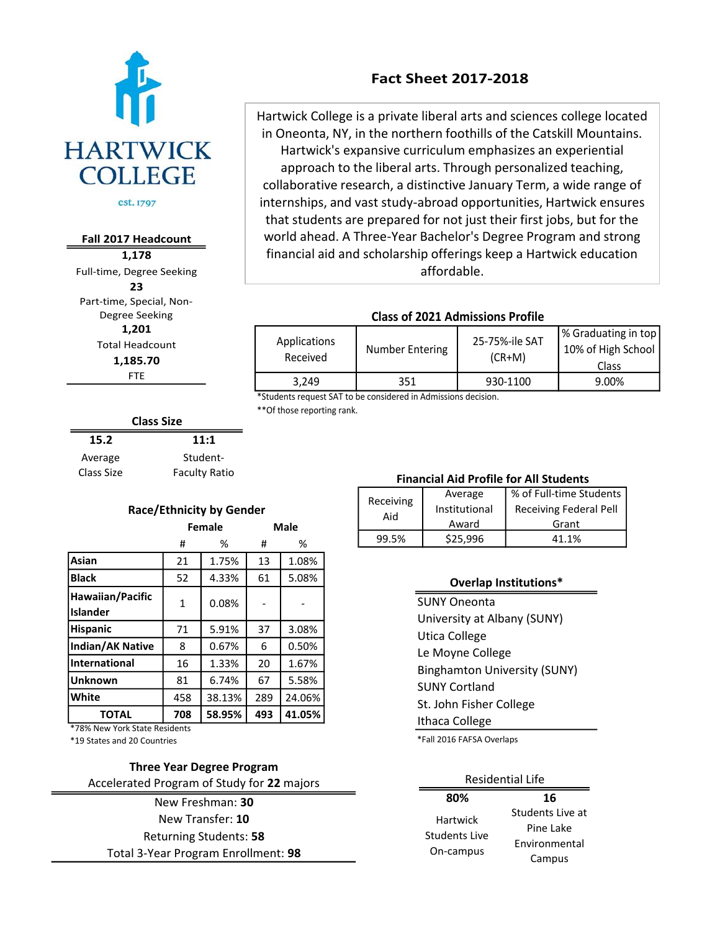

Fall 2017 Headcount<br>1,178<br>ull-time, Degree Seekin<br>23<br><sup>9</sup>art-time, Special, Non-<br>Degree Seeking<br>1,201<br>Total Headcount<br>1,185.70<br>FTE<br>Class Size **1,178** Full-time, Degree Seeking **23** Part-time, Special, Non-Degree Seeking **1,201** Total Headcount **1,185.70** FTE

# **Fact Sheet 2017-2018**

Hartwick College is a private liberal arts and sciences college located in Oneonta, NY, in the northern foothills of the Catskill Mountains. Hartwick's expansive curriculum emphasizes an experiential approach to the liberal arts. Through personalized teaching, collaborative research, a distinctive January Term, a wide range of internships, and vast study-abroad opportunities, Hartwick ensures that students are prepared for not just their first jobs, but for the world ahead. A Three-Year Bachelor's Degree Program and strong financial aid and scholarship offerings keep a Hartwick education affordable.

### **Class of 2021 Admissions Profile**

| <b>Applications</b><br>Received | Number Entering | 25-75%-ile SAT<br>$(CR+M)$ | % Graduating in top<br>10% of High School<br>Class |
|---------------------------------|-----------------|----------------------------|----------------------------------------------------|
| 3.249                           | 351             | 930-1100                   | 9.00%                                              |

\*Students request SAT to be considered in Admissions decision.

\*\*Of those reporting rank.

| <b>Class Size</b> |                      |  |  |
|-------------------|----------------------|--|--|
| 15.2              | 11:1                 |  |  |
| Average           | Student-             |  |  |
| Class Size        | <b>Faculty Ratio</b> |  |  |

| <b>Race/Ethnicity by Gender</b>     |              |        |             |        |
|-------------------------------------|--------------|--------|-------------|--------|
|                                     | Female       |        | <b>Male</b> |        |
|                                     | #            | %      | #           | %      |
| Asian                               | 21           | 1.75%  | 13          | 1.08%  |
| <b>Black</b>                        | 52           | 4.33%  | 61          | 5.08%  |
| Hawaiian/Pacific<br><b>Islander</b> | $\mathbf{1}$ | 0.08%  |             |        |
| <b>Hispanic</b>                     | 71           | 5.91%  | 37          | 3.08%  |
| <b>Indian/AK Native</b>             | 8            | 0.67%  | 6           | 0.50%  |
| International                       | 16           | 1.33%  | 20          | 1.67%  |
| <b>Unknown</b>                      | 81           | 6.74%  | 67          | 5.58%  |
| White                               | 458          | 38.13% | 289         | 24.06% |
| <b>TOTAL</b>                        | 708          | 58.95% | 493         | 41.05% |
| $* = 0.01 \, \text{M}$              |              |        |             |        |

\*78% New York State Residents

\*19 States and 20 Countries

#### **Three Year Degree Program** Accelerated Program of Study for **22** majors

Total 3-Year Program Enrollment: **98** New Freshman: **30** New Transfer: **10** Returning Students: **58**

## **Financial Aid Profile for All Students**

| Receiving<br>Aid | Average       | % of Full-time Students       |
|------------------|---------------|-------------------------------|
|                  | Institutional | <b>Receiving Federal Pell</b> |
|                  | Award         | Grant                         |
| 99.5%            | \$25,996      | 41 1%                         |

#### **Overlap Institutions\***

SUNY Oneonta University at Albany (SUNY) Utica College Le Moyne College Binghamton University (SUNY) SUNY Cortland St. John Fisher College Ithaca College

\*Fall 2016 FAFSA Overlaps

#### Residential Life

| 80%           | 16               |  |
|---------------|------------------|--|
| Hartwick      | Students Live at |  |
| Students Live | Pine Lake        |  |
| On-campus     | Environmental    |  |
|               | Campus           |  |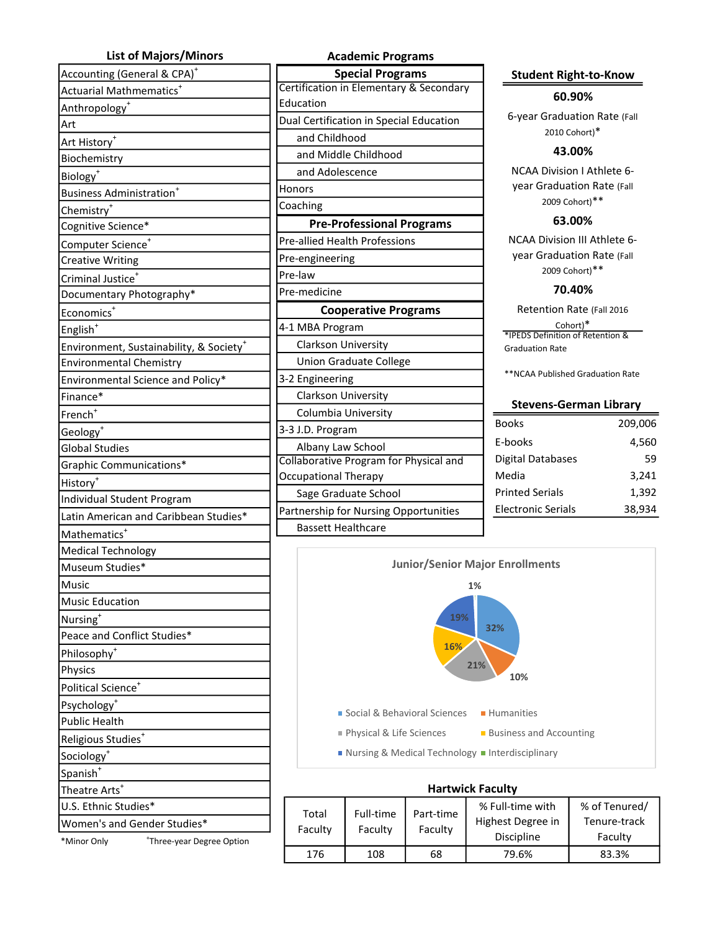| <b>List of Majors/Minors</b>                        |
|-----------------------------------------------------|
| Accounting (General & CPA) <sup>+</sup>             |
| Actuarial Mathmematics <sup>+</sup>                 |
| Anthropology <sup>+</sup>                           |
| Art                                                 |
| Art History <sup>+</sup>                            |
| Biochemistry                                        |
| Biology <sup>+</sup>                                |
| Business Administration <sup>+</sup>                |
| Chemistry <sup>+</sup>                              |
| Cognitive Science*                                  |
| Computer Science <sup>+</sup>                       |
| <b>Creative Writing</b>                             |
| Criminal Justice <sup>+</sup>                       |
| Documentary Photography*                            |
| Economics <sup>+</sup>                              |
| English <sup>+</sup>                                |
| Environment, Sustainability, & Society <sup>+</sup> |
| <b>Environmental Chemistry</b>                      |
| Environmental Science and Policy*                   |
| Finance*                                            |
| French <sup>+</sup>                                 |
| Geology <sup>+</sup>                                |
| <b>Global Studies</b>                               |
| Graphic Communications*                             |
| History <sup>+</sup>                                |
| Individual Student Program                          |
| Latin American and Caribbean Studies*               |
| Mathematics <sup>+</sup>                            |
| <b>Medical Technology</b>                           |
| Museum Studies*                                     |
| Music                                               |
| <b>Music Education</b>                              |
| Nursing <sup>+</sup>                                |
| Peace and Conflict Studies*                         |
| Philosophy <sup>+</sup>                             |
| Physics                                             |
| Political Science <sup>+</sup>                      |
| Psychology                                          |
| <b>Public Health</b>                                |
| Religious Studies <sup>+</sup>                      |
| Sociology <sup>+</sup>                              |
| Spanish <sup>+</sup>                                |
| Theatre Arts <sup>+</sup>                           |
| U.S. Ethnic Studies*                                |
| Women's and Gender Studies*                         |
| *Three-year Degree Option<br>*Minor Only            |
|                                                     |

| <b>Academic Programs</b>                |  |  |  |
|-----------------------------------------|--|--|--|
| <b>Special Programs</b>                 |  |  |  |
| Certification in Elementary & Secondary |  |  |  |
| Education                               |  |  |  |
| Dual Certification in Special Education |  |  |  |
| and Childhood                           |  |  |  |
| and Middle Childhood                    |  |  |  |
| and Adolescence                         |  |  |  |
| Honors                                  |  |  |  |
| Coaching                                |  |  |  |
| <b>Pre-Professional Programs</b>        |  |  |  |
| <b>Pre-allied Health Professions</b>    |  |  |  |
| Pre-engineering                         |  |  |  |
| Pre-law                                 |  |  |  |
| Pre-medicine                            |  |  |  |
| <b>Cooperative Programs</b>             |  |  |  |
| 4-1 MBA Program                         |  |  |  |
| Clarkson University                     |  |  |  |
| <b>Union Graduate College</b>           |  |  |  |
| 3-2 Engineering                         |  |  |  |
| Clarkson University                     |  |  |  |
| Columbia University                     |  |  |  |
| 3-3 J.D. Program                        |  |  |  |
| Albany Law School                       |  |  |  |
| Collaborative Program for Physical and  |  |  |  |
| <b>Occupational Therapy</b>             |  |  |  |
| Sage Graduate School                    |  |  |  |
| Partnership for Nursing Opportunities   |  |  |  |
| <b>Bassett Healthcare</b>               |  |  |  |
|                                         |  |  |  |

#### **60.90%**

6-year Graduation Rate (Fall 2010 Cohort)\*

#### **43.00%**

NCAA Division I Athlete 6 year Graduation Rate (Fall 2009 Cohort)\*\*

#### **63.00%**

NCAA Division III Athlete 6 year Graduation Rate (Fall 2009 Cohort)\*\*

### **70.40%**

Retention Rate (Fall 2016

Cohort)\* \*IPEDS Definition of Retention & Graduation Rate

\*\*NCAA Published Graduation Rate

#### **Stevens-German Library**

| <b>Books</b>              | 209,006 |
|---------------------------|---------|
| <b>F-books</b>            | 4,560   |
| <b>Digital Databases</b>  | 59      |
| Media                     | 3,241   |
| <b>Printed Serials</b>    | 1,392   |
| <b>Electronic Serials</b> | 38,934  |



| ■ Nursing & Medical Technology ■ Interdisciplinary |  |
|----------------------------------------------------|--|
|----------------------------------------------------|--|

| <b>Hartwick Faculty</b> |                      |                      |                                                            |                                          |
|-------------------------|----------------------|----------------------|------------------------------------------------------------|------------------------------------------|
| Total<br>Faculty        | Full-time<br>Faculty | Part-time<br>Faculty | % Full-time with<br>Highest Degree in<br><b>Discipline</b> | % of Tenured/<br>Tenure-track<br>Faculty |
| 176                     | 108                  | 68                   | 79.6%                                                      | 83.3%                                    |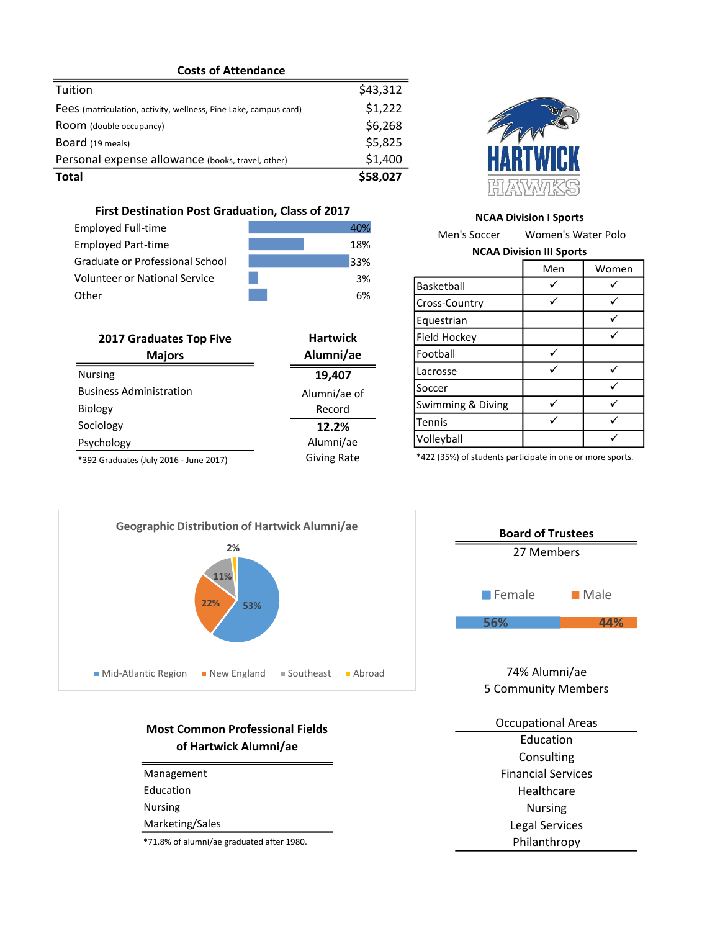| <b>Costs of Attendance</b> |  |
|----------------------------|--|
|----------------------------|--|

| Total                                                            | \$58,027 |
|------------------------------------------------------------------|----------|
| Personal expense allowance (books, travel, other)                | \$1,400  |
| Board (19 meals)                                                 | \$5,825  |
| Room (double occupancy)                                          | \$6,268  |
| Fees (matriculation, activity, wellness, Pine Lake, campus card) | \$1,222  |
| Tuition                                                          | \$43,312 |

### **First Destination Post Graduation, Class of 2017**

| <b>Employed Full-time</b>       | 40%             |
|---------------------------------|-----------------|
| <b>Employed Part-time</b>       | 18%             |
| Graduate or Professional School | 33%             |
| Volunteer or National Service   | 3%              |
| Other                           | 6%              |
|                                 |                 |
| <b>2017 Graduates Top Five</b>  | <b>Hartwick</b> |
| <b>Majors</b>                   | Alumni/ae       |

| <b>2017 Graduates Top Five</b>         | <b>Hartwick</b>    |
|----------------------------------------|--------------------|
| <b>Majors</b>                          | Alumni/ae          |
| <b>Nursing</b>                         | 19,407             |
| <b>Business Administration</b>         | Alumni/ae of       |
| Biology                                | Record             |
| Sociology                              | 12.2%              |
| Psychology                             | Alumni/ae          |
| *392 Graduates (July 2016 - June 2017) | <b>Giving Rate</b> |



#### **NCAA Division I Sports**

Men's Soccer Women's Water Polo **NCAA Division III Sports**

|                   | Men | Women |
|-------------------|-----|-------|
| Basketball        |     |       |
| Cross-Country     |     |       |
| Equestrian        |     |       |
| Field Hockey      |     |       |
| Football          |     |       |
| Lacrosse          |     |       |
| Soccer            |     |       |
| Swimming & Diving |     |       |
| Tennis            |     |       |
| Volleyball        |     |       |

\*422 (35%) of students participate in one or more sports.



## **Most Common Professional Fields of Hartwick Alumni/ae**

| Management      |
|-----------------|
| Education       |
| Nursing         |
| Marketing/Sales |
| $+ - 1$ $- 0$   |

\*71.8% of alumni/ae graduated after 1980.



74% Alumni/ae 5 Community Members

| <b>Occupational Areas</b> |
|---------------------------|
| Education                 |
| Consulting                |
| <b>Financial Services</b> |
| Healthcare                |
| <b>Nursing</b>            |
| <b>Legal Services</b>     |
| Philanthropy              |